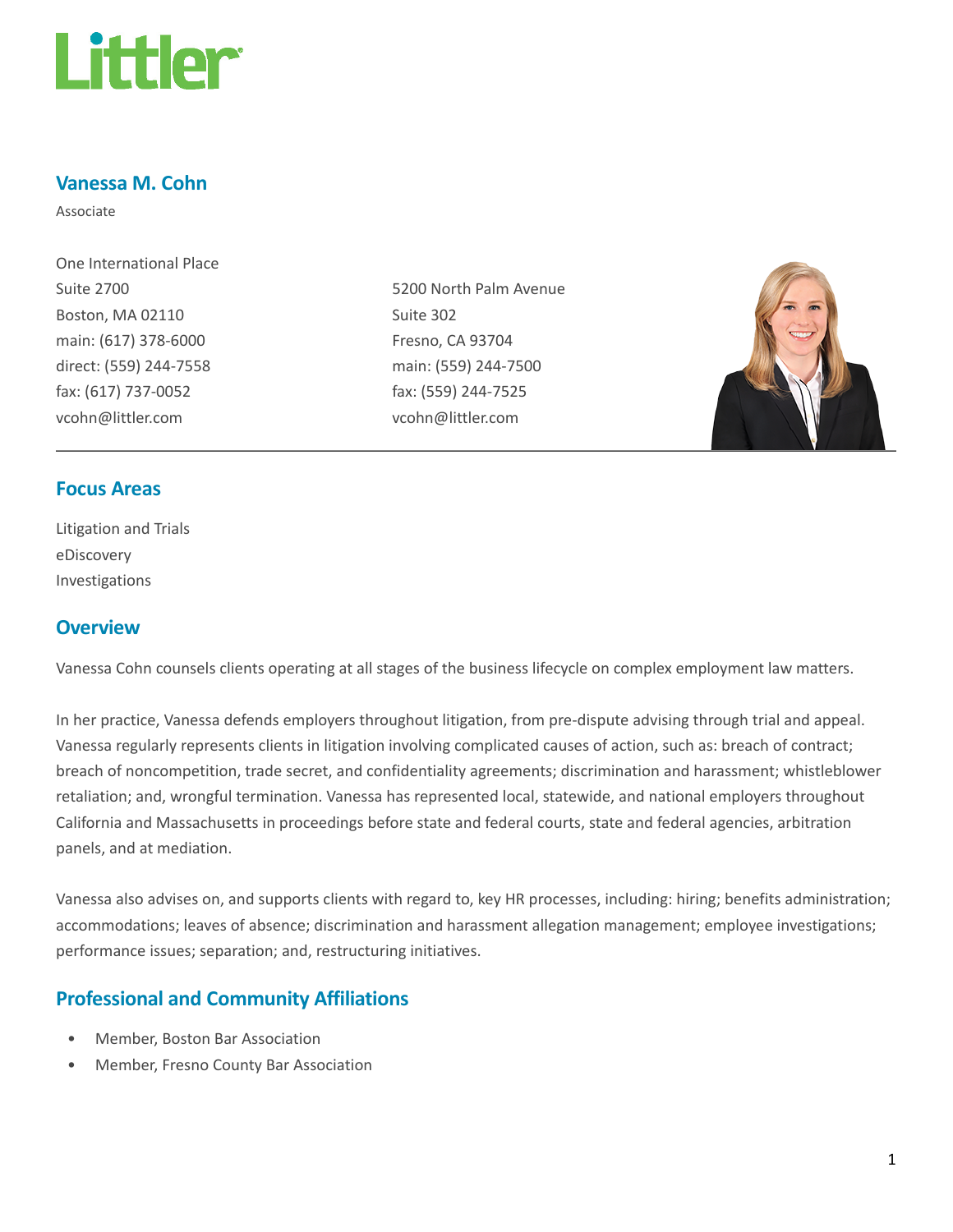

#### Vanessa M. Cohn

Associate

One International Place Suite 2700 Boston, MA 02110 main: (617) 378-6000 direct: (559) 244-7558 fax: (617) 737-0052 vcohn@littler.com

5200 North Palm Avenue Suite 302 Fresno, CA 93704 main: (559) 244-7500 fax: (559) 244-7525 vcohn@littler.com



#### Focus Areas

Litigation and Trials eDiscovery Investigations

# **Overview**

Vanessa Cohn counsels clients operating at all stages of the business lifecycle on complex employment law matters.

In her practice, Vanessa defends employers throughout litigation, from pre-dispute advising through trial and appeal. Vanessa regularly represents clients in litigation involving complicated causes of action, such as: breach of contract; breach of noncompetition, trade secret, and confidentiality agreements; discrimination and harassment; whistleblower retaliation; and, wrongful termination. Vanessa has represented local, statewide, and national employers throughout California and Massachusetts in proceedings before state and federal courts, state and federal agencies, arbitration panels, and at mediation.

Vanessa also advises on, and supports clients with regard to, key HR processes, including: hiring; benefits administration; accommodations; leaves of absence; discrimination and harassment allegation management; employee investigations; performance issues; separation; and, restructuring initiatives.

# Professional and Community Affiliations

- Member, Boston Bar Association
- Member, Fresno County Bar Association